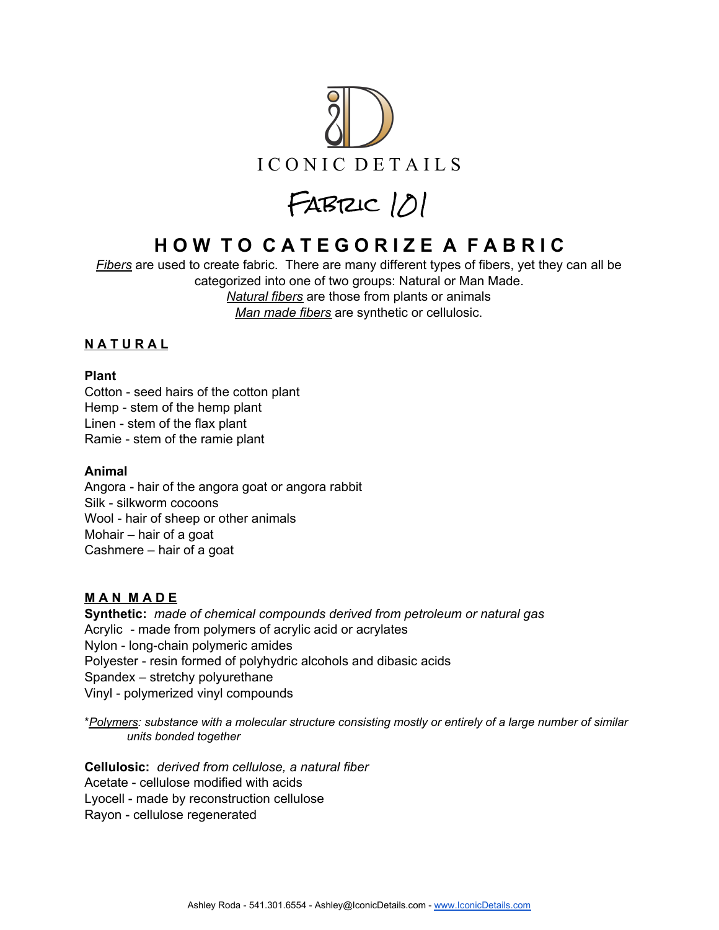

FABRIC 101

# **H O W T O C A T E G O R I Z E A F A B R I C**

*Fibers* are used to create fabric. There are many different types of fibers, yet they can all be categorized into one of two groups: Natural or Man Made. *Natural fibers* are those from plants or animals *Man made fibers* are synthetic or cellulosic.

### **N A T U R A L**

#### **Plant**

Cotton - seed hairs of the cotton plant Hemp - stem of the hemp plant Linen - stem of the flax plant Ramie - stem of the ramie plant

#### **Animal**

Angora - hair of the angora goat or angora rabbit Silk - silkworm cocoons Wool - hair of sheep or other animals Mohair – hair of a goat Cashmere – hair of a goat

#### **M A N M A D E**

**Synthetic:** *made of chemical compounds derived from petroleum or natural gas* Acrylic - made from polymers of acrylic acid or acrylates Nylon - long-chain polymeric amides Polyester - resin formed of polyhydric alcohols and dibasic acids Spandex – stretchy polyurethane Vinyl - polymerized vinyl compounds

\**Polymers: substance with a molecular structure consisting mostly or entirely of a large number of similar units bonded together*

**Cellulosic:** *derived from cellulose, a natural fiber* Acetate - cellulose modified with acids Lyocell - made by reconstruction cellulose Rayon - cellulose regenerated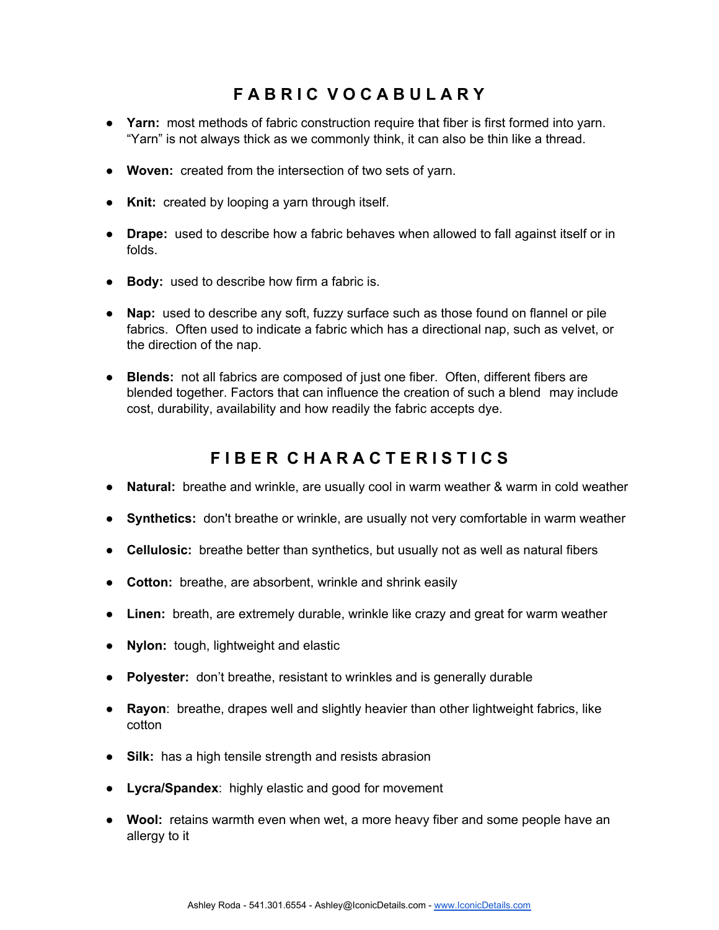## **F A B R I C V O C A B U L A R Y**

- **Yarn:** most methods of fabric construction require that fiber is first formed into yarn. "Yarn" is not always thick as we commonly think, it can also be thin like a thread.
- **Woven:** created from the intersection of two sets of yarn.
- **Knit:** created by looping a yarn through itself.
- **Drape:** used to describe how a fabric behaves when allowed to fall against itself or in folds.
- **Body:** used to describe how firm a fabric is.
- **Nap:** used to describe any soft, fuzzy surface such as those found on flannel or pile fabrics. Often used to indicate a fabric which has a directional nap, such as velvet, or the direction of the nap.
- **Blends:** not all fabrics are composed of just one fiber. Often, different fibers are blended together. Factors that can influence the creation of such a blend may include cost, durability, availability and how readily the fabric accepts dye.

### **F I B E R C H A R A C T E R I S T I C S**

- **Natural:** breathe and wrinkle, are usually cool in warm weather & warm in cold weather
- **Synthetics:** don't breathe or wrinkle, are usually not very comfortable in warm weather
- **Cellulosic:** breathe better than synthetics, but usually not as well as natural fibers
- **Cotton:** breathe, are absorbent, wrinkle and shrink easily
- **Linen:** breath, are extremely durable, wrinkle like crazy and great for warm weather
- **Nylon:** tough, lightweight and elastic
- **Polyester:** don't breathe, resistant to wrinkles and is generally durable
- **Rayon**: breathe, drapes well and slightly heavier than other lightweight fabrics, like cotton
- **Silk:** has a high tensile strength and resists abrasion
- **Lycra/Spandex**: highly elastic and good for movement
- **Wool:** retains warmth even when wet, a more heavy fiber and some people have an allergy to it